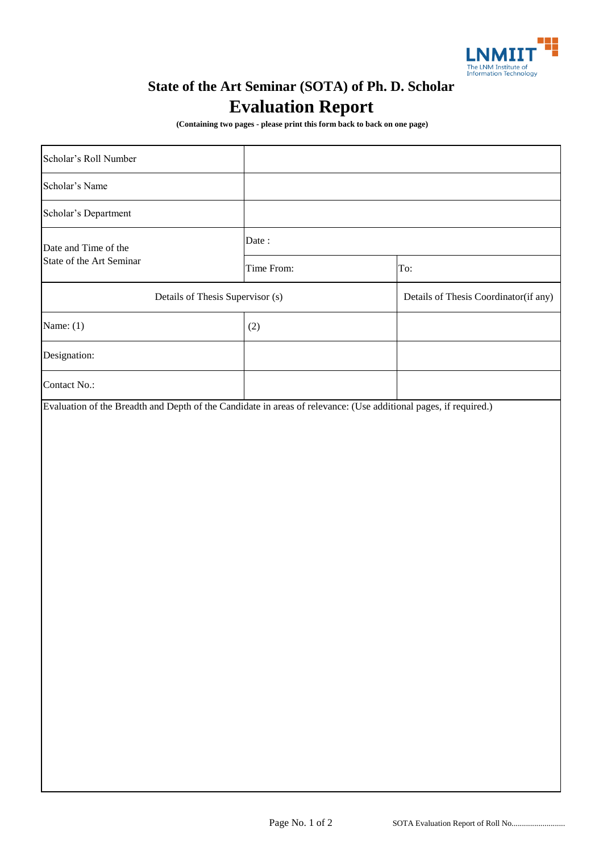

## **State of the Art Seminar (SOTA) of Ph. D. Scholar Evaluation Report**

 **(Containing two pages - please print this form back to back on one page)**

| Scholar's Roll Number                            |            |                                       |
|--------------------------------------------------|------------|---------------------------------------|
| Scholar's Name                                   |            |                                       |
| Scholar's Department                             |            |                                       |
| Date and Time of the<br>State of the Art Seminar | Date:      |                                       |
|                                                  | Time From: | To:                                   |
| Details of Thesis Supervisor (s)                 |            | Details of Thesis Coordinator(if any) |
| Name: $(1)$                                      | (2)        |                                       |
| Designation:                                     |            |                                       |
| Contact No.:                                     |            |                                       |
|                                                  |            |                                       |